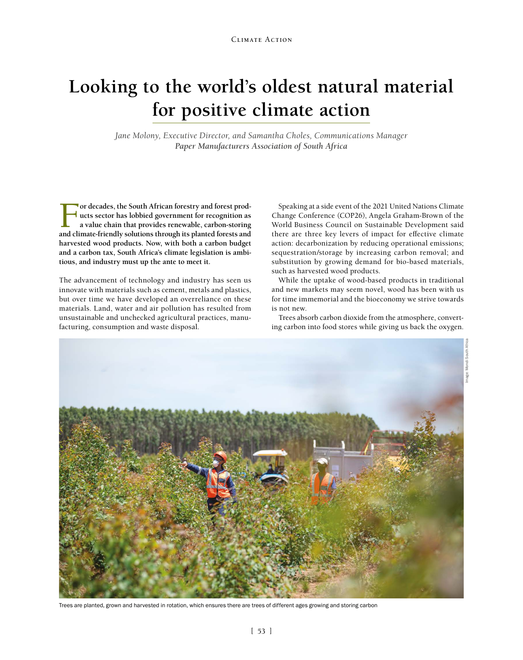## **Looking to the world's oldest natural material for positive climate action**

*Jane Molony, Executive Director, and Samantha Choles, Communications Manager Paper Manufacturers Association of South Africa*

For decades, the South African forestry and forest prod-<br>
ucts sector has lobbied government for recognition as<br>
a value chain that provides renewable, carbon-storing<br>
and climate-friendly solutions through its planted for **ucts sector has lobbied government for recognition as a value chain that provides renewable, carbon-storing and climate-friendly solutions through its planted forests and harvested wood products. Now, with both a carbon budget and a carbon tax, South Africa's climate legislation is ambitious, and industry must up the ante to meet it.**

The advancement of technology and industry has seen us innovate with materials such as cement, metals and plastics, but over time we have developed an overreliance on these materials. Land, water and air pollution has resulted from unsustainable and unchecked agricultural practices, manufacturing, consumption and waste disposal.

Speaking at a side event of the 2021 United Nations Climate Change Conference (COP26), Angela Graham-Brown of the World Business Council on Sustainable Development said there are three key levers of impact for effective climate action: decarbonization by reducing operational emissions; sequestration/storage by increasing carbon removal; and substitution by growing demand for bio-based materials, such as harvested wood products.

While the uptake of wood-based products in traditional and new markets may seem novel, wood has been with us for time immemorial and the bioeconomy we strive towards is not new.

Trees absorb carbon dioxide from the atmosphere, converting carbon into food stores while giving us back the oxygen.



Trees are planted, grown and harvested in rotation, which ensures there are trees of different ages growing and storing carbon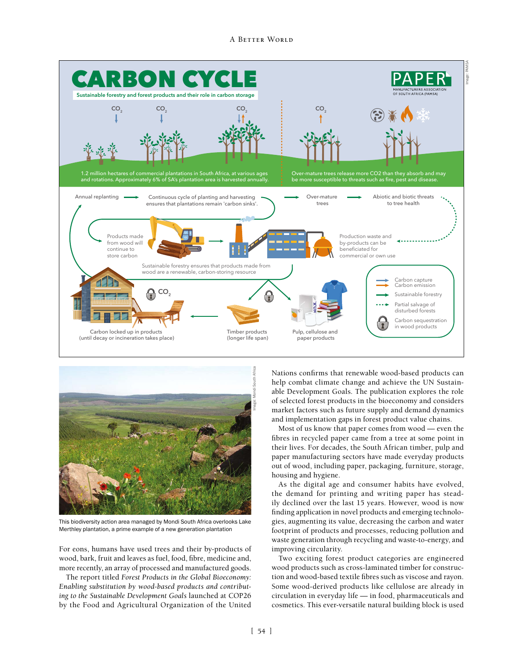



This biodiversity action area managed by Mondi South Africa overlooks Lake Merthley plantation, a prime example of a new generation plantation

For eons, humans have used trees and their by-products of wood, bark, fruit and leaves as fuel, food, fibre, medicine and, more recently, an array of processed and manufactured goods.

The report titled *Forest Products in the Global Bioeconomy: Enabling substitution by wood-based products and contributing to the Sustainable Development Goals* launched at COP26 by the Food and Agricultural Organization of the United Nations confirms that renewable wood-based products can help combat climate change and achieve the UN Sustainable Development Goals. The publication explores the role of selected forest products in the bioeconomy and considers market factors such as future supply and demand dynamics and implementation gaps in forest product value chains.

Most of us know that paper comes from wood — even the fibres in recycled paper came from a tree at some point in their lives. For decades, the South African timber, pulp and paper manufacturing sectors have made everyday products out of wood, including paper, packaging, furniture, storage, housing and hygiene.

As the digital age and consumer habits have evolved, the demand for printing and writing paper has steadily declined over the last 15 years. However, wood is now finding application in novel products and emerging technologies, augmenting its value, decreasing the carbon and water footprint of products and processes, reducing pollution and waste generation through recycling and waste-to-energy, and improving circularity.

Two exciting forest product categories are engineered wood products such as cross-laminated timber for construction and wood-based textile fibres such as viscose and rayon. Some wood-derived products like cellulose are already in circulation in everyday life — in food, pharmaceuticals and cosmetics. This ever-versatile natural building block is used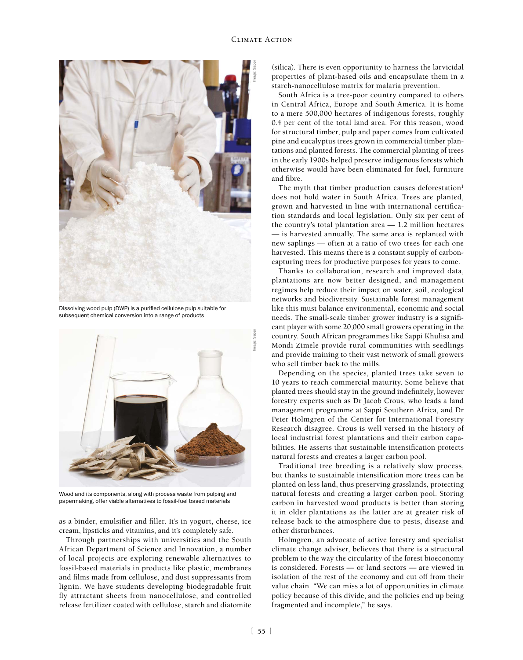

Dissolving wood pulp (DWP) is a purified cellulose pulp suitable for subsequent chemical conversion into a range of products



Wood and its components, along with process waste from pulping and papermaking, offer viable alternatives to fossil-fuel based materials

as a binder, emulsifier and filler. It's in yogurt, cheese, ice cream, lipsticks and vitamins, and it's completely safe.

Through partnerships with universities and the South African Department of Science and Innovation, a number of local projects are exploring renewable alternatives to fossil-based materials in products like plastic, membranes and films made from cellulose, and dust suppressants from lignin. We have students developing biodegradable fruit fly attractant sheets from nanocellulose, and controlled release fertilizer coated with cellulose, starch and diatomite (silica). There is even opportunity to harness the larvicidal properties of plant-based oils and encapsulate them in a starch-nanocellulose matrix for malaria prevention.

South Africa is a tree-poor country compared to others in Central Africa, Europe and South America. It is home to a mere 500,000 hectares of indigenous forests, roughly 0.4 per cent of the total land area. For this reason, wood for structural timber, pulp and paper comes from cultivated pine and eucalyptus trees grown in commercial timber plantations and planted forests. The commercial planting of trees in the early 1900s helped preserve indigenous forests which otherwise would have been eliminated for fuel, furniture and fibre.

The myth that timber production causes deforestation<sup>1</sup> does not hold water in South Africa. Trees are planted, grown and harvested in line with international certification standards and local legislation. Only six per cent of the country's total plantation area — 1.2 million hectares — is harvested annually. The same area is replanted with new saplings — often at a ratio of two trees for each one harvested. This means there is a constant supply of carboncapturing trees for productive purposes for years to come.

Thanks to collaboration, research and improved data, plantations are now better designed, and management regimes help reduce their impact on water, soil, ecological networks and biodiversity. Sustainable forest management like this must balance environmental, economic and social needs. The small-scale timber grower industry is a significant player with some 20,000 small growers operating in the country. South African programmes like Sappi Khulisa and Mondi Zimele provide rural communities with seedlings and provide training to their vast network of small growers who sell timber back to the mills.

Depending on the species, planted trees take seven to 10 years to reach commercial maturity. Some believe that planted trees should stay in the ground indefinitely, however forestry experts such as Dr Jacob Crous, who leads a land management programme at Sappi Southern Africa, and Dr Peter Holmgren of the Center for International Forestry Research disagree. Crous is well versed in the history of local industrial forest plantations and their carbon capabilities. He asserts that sustainable intensification protects natural forests and creates a larger carbon pool.

Traditional tree breeding is a relatively slow process, but thanks to sustainable intensification more trees can be planted on less land, thus preserving grasslands, protecting natural forests and creating a larger carbon pool. Storing carbon in harvested wood products is better than storing it in older plantations as the latter are at greater risk of release back to the atmosphere due to pests, disease and other disturbances.

Holmgren, an advocate of active forestry and specialist climate change adviser, believes that there is a structural problem to the way the circularity of the forest bioeconomy is considered. Forests — or land sectors — are viewed in isolation of the rest of the economy and cut off from their value chain. "We can miss a lot of opportunities in climate policy because of this divide, and the policies end up being fragmented and incomplete," he says.